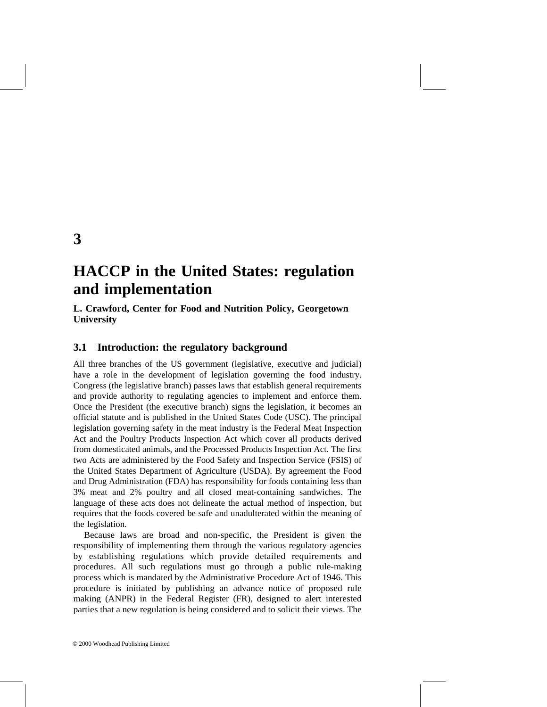**3**

# **HACCP in the United States: regulation and implementation**

#### **L. Crawford, Center for Food and Nutrition Policy, Georgetown University**

#### **3.1 Introduction: the regulatory background**

All three branches of the US government (legislative, executive and judicial) have a role in the development of legislation governing the food industry. Congress (the legislative branch) passes laws that establish general requirements and provide authority to regulating agencies to implement and enforce them. Once the President (the executive branch) signs the legislation, it becomes an official statute and is published in the United States Code (USC). The principal legislation governing safety in the meat industry is the Federal Meat Inspection Act and the Poultry Products Inspection Act which cover all products derived from domesticated animals, and the Processed Products Inspection Act. The first two Acts are administered by the Food Safety and Inspection Service (FSIS) of the United States Department of Agriculture (USDA). By agreement the Food and Drug Administration (FDA) has responsibility for foods containing less than 3% meat and 2% poultry and all closed meat-containing sandwiches. The language of these acts does not delineate the actual method of inspection, but requires that the foods covered be safe and unadulterated within the meaning of the legislation.

Because laws are broad and non-specific, the President is given the responsibility of implementing them through the various regulatory agencies by establishing regulations which provide detailed requirements and procedures. All such regulations must go through a public rule-making process which is mandated by the Administrative Procedure Act of 1946. This procedure is initiated by publishing an advance notice of proposed rule making (ANPR) in the Federal Register (FR), designed to alert interested parties that a new regulation is being considered and to solicit their views. The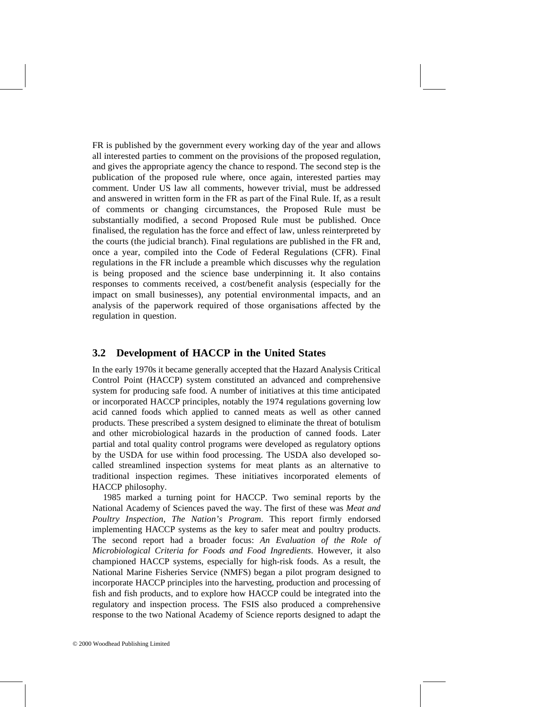FR is published by the government every working day of the year and allows all interested parties to comment on the provisions of the proposed regulation, and gives the appropriate agency the chance to respond. The second step is the publication of the proposed rule where, once again, interested parties may comment. Under US law all comments, however trivial, must be addressed and answered in written form in the FR as part of the Final Rule. If, as a result of comments or changing circumstances, the Proposed Rule must be substantially modified, a second Proposed Rule must be published. Once finalised, the regulation has the force and effect of law, unless reinterpreted by the courts (the judicial branch). Final regulations are published in the FR and, once a year, compiled into the Code of Federal Regulations (CFR). Final regulations in the FR include a preamble which discusses why the regulation is being proposed and the science base underpinning it. It also contains responses to comments received, a cost/benefit analysis (especially for the impact on small businesses), any potential environmental impacts, and an analysis of the paperwork required of those organisations affected by the regulation in question.

### **3.2 Development of HACCP in the United States**

In the early 1970s it became generally accepted that the Hazard Analysis Critical Control Point (HACCP) system constituted an advanced and comprehensive system for producing safe food. A number of initiatives at this time anticipated or incorporated HACCP principles, notably the 1974 regulations governing low acid canned foods which applied to canned meats as well as other canned products. These prescribed a system designed to eliminate the threat of botulism and other microbiological hazards in the production of canned foods. Later partial and total quality control programs were developed as regulatory options by the USDA for use within food processing. The USDA also developed socalled streamlined inspection systems for meat plants as an alternative to traditional inspection regimes. These initiatives incorporated elements of HACCP philosophy.

1985 marked a turning point for HACCP. Two seminal reports by the National Academy of Sciences paved the way. The first of these was *Meat and Poultry Inspection, The Nation's Program*. This report firmly endorsed implementing HACCP systems as the key to safer meat and poultry products. The second report had a broader focus: *An Evaluation of the Role of Microbiological Criteria for Foods and Food Ingredients*. However, it also championed HACCP systems, especially for high-risk foods. As a result, the National Marine Fisheries Service (NMFS) began a pilot program designed to incorporate HACCP principles into the harvesting, production and processing of fish and fish products, and to explore how HACCP could be integrated into the regulatory and inspection process. The FSIS also produced a comprehensive response to the two National Academy of Science reports designed to adapt the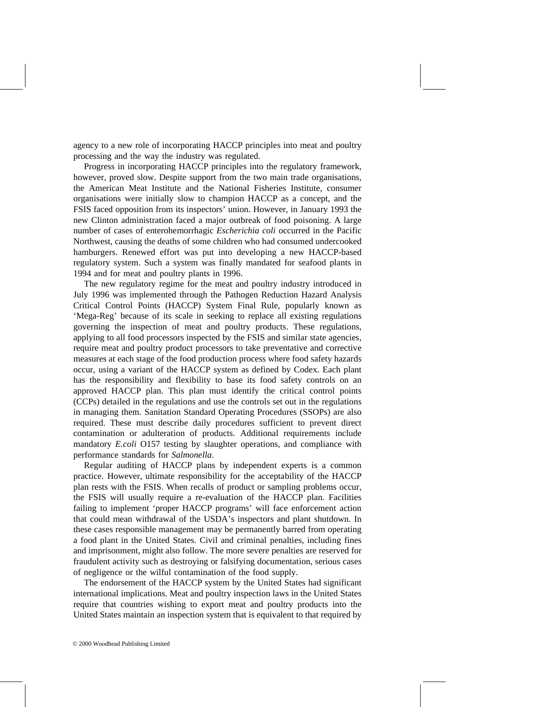agency to a new role of incorporating HACCP principles into meat and poultry processing and the way the industry was regulated.

Progress in incorporating HACCP principles into the regulatory framework, however, proved slow. Despite support from the two main trade organisations, the American Meat Institute and the National Fisheries Institute, consumer organisations were initially slow to champion HACCP as a concept, and the FSIS faced opposition from its inspectors' union. However, in January 1993 the new Clinton administration faced a major outbreak of food poisoning. A large number of cases of enterohemorrhagic *Escherichia coli* occurred in the Pacific Northwest, causing the deaths of some children who had consumed undercooked hamburgers. Renewed effort was put into developing a new HACCP-based regulatory system. Such a system was finally mandated for seafood plants in 1994 and for meat and poultry plants in 1996.

The new regulatory regime for the meat and poultry industry introduced in July 1996 was implemented through the Pathogen Reduction Hazard Analysis Critical Control Points (HACCP) System Final Rule, popularly known as 'Mega-Reg' because of its scale in seeking to replace all existing regulations governing the inspection of meat and poultry products. These regulations, applying to all food processors inspected by the FSIS and similar state agencies, require meat and poultry product processors to take preventative and corrective measures at each stage of the food production process where food safety hazards occur, using a variant of the HACCP system as defined by Codex. Each plant has the responsibility and flexibility to base its food safety controls on an approved HACCP plan. This plan must identify the critical control points (CCPs) detailed in the regulations and use the controls set out in the regulations in managing them. Sanitation Standard Operating Procedures (SSOPs) are also required. These must describe daily procedures sufficient to prevent direct contamination or adulteration of products. Additional requirements include mandatory *E.coli* O157 testing by slaughter operations, and compliance with performance standards for *Salmonella*.

Regular auditing of HACCP plans by independent experts is a common practice. However, ultimate responsibility for the acceptability of the HACCP plan rests with the FSIS. When recalls of product or sampling problems occur, the FSIS will usually require a re-evaluation of the HACCP plan. Facilities failing to implement 'proper HACCP programs' will face enforcement action that could mean withdrawal of the USDA's inspectors and plant shutdown. In these cases responsible management may be permanently barred from operating a food plant in the United States. Civil and criminal penalties, including fines and imprisonment, might also follow. The more severe penalties are reserved for fraudulent activity such as destroying or falsifying documentation, serious cases of negligence or the wilful contamination of the food supply.

The endorsement of the HACCP system by the United States had significant international implications. Meat and poultry inspection laws in the United States require that countries wishing to export meat and poultry products into the United States maintain an inspection system that is equivalent to that required by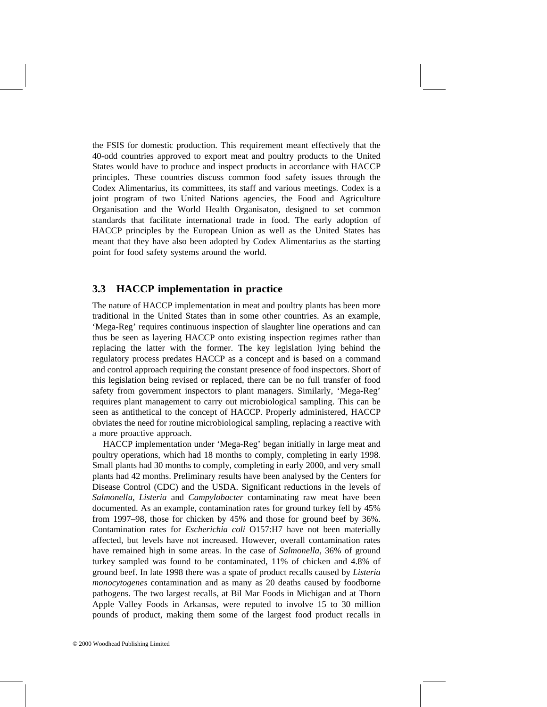the FSIS for domestic production. This requirement meant effectively that the 40-odd countries approved to export meat and poultry products to the United States would have to produce and inspect products in accordance with HACCP principles. These countries discuss common food safety issues through the Codex Alimentarius, its committees, its staff and various meetings. Codex is a joint program of two United Nations agencies, the Food and Agriculture Organisation and the World Health Organisaton, designed to set common standards that facilitate international trade in food. The early adoption of HACCP principles by the European Union as well as the United States has meant that they have also been adopted by Codex Alimentarius as the starting point for food safety systems around the world.

#### **3.3 HACCP implementation in practice**

The nature of HACCP implementation in meat and poultry plants has been more traditional in the United States than in some other countries. As an example, 'Mega-Reg' requires continuous inspection of slaughter line operations and can thus be seen as layering HACCP onto existing inspection regimes rather than replacing the latter with the former. The key legislation lying behind the regulatory process predates HACCP as a concept and is based on a command and control approach requiring the constant presence of food inspectors. Short of this legislation being revised or replaced, there can be no full transfer of food safety from government inspectors to plant managers. Similarly, 'Mega-Reg' requires plant management to carry out microbiological sampling. This can be seen as antithetical to the concept of HACCP. Properly administered, HACCP obviates the need for routine microbiological sampling, replacing a reactive with a more proactive approach.

HACCP implementation under 'Mega-Reg' began initially in large meat and poultry operations, which had 18 months to comply, completing in early 1998. Small plants had 30 months to comply, completing in early 2000, and very small plants had 42 months. Preliminary results have been analysed by the Centers for Disease Control (CDC) and the USDA. Significant reductions in the levels of *Salmonella*, *Listeria* and *Campylobacter* contaminating raw meat have been documented. As an example, contamination rates for ground turkey fell by 45% from 1997–98, those for chicken by 45% and those for ground beef by 36%. Contamination rates for *Escherichia coli* O157:H7 have not been materially affected, but levels have not increased. However, overall contamination rates have remained high in some areas. In the case of *Salmonella*, 36% of ground turkey sampled was found to be contaminated, 11% of chicken and 4.8% of ground beef. In late 1998 there was a spate of product recalls caused by *Listeria monocytogenes* contamination and as many as 20 deaths caused by foodborne pathogens. The two largest recalls, at Bil Mar Foods in Michigan and at Thorn Apple Valley Foods in Arkansas, were reputed to involve 15 to 30 million pounds of product, making them some of the largest food product recalls in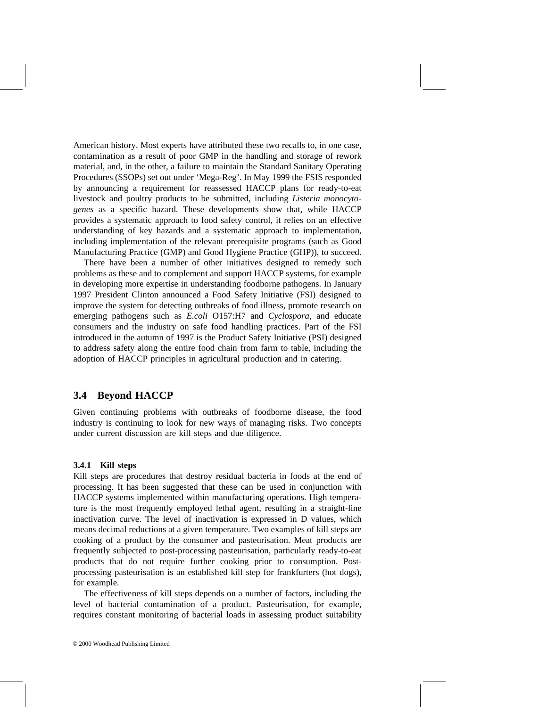American history. Most experts have attributed these two recalls to, in one case, contamination as a result of poor GMP in the handling and storage of rework material, and, in the other, a failure to maintain the Standard Sanitary Operating Procedures (SSOPs) set out under 'Mega-Reg'. In May 1999 the FSIS responded by announcing a requirement for reassessed HACCP plans for ready-to-eat livestock and poultry products to be submitted, including *Listeria monocytogenes* as a specific hazard. These developments show that, while HACCP provides a systematic approach to food safety control, it relies on an effective understanding of key hazards and a systematic approach to implementation, including implementation of the relevant prerequisite programs (such as Good Manufacturing Practice (GMP) and Good Hygiene Practice (GHP)), to succeed.

There have been a number of other initiatives designed to remedy such problems as these and to complement and support HACCP systems, for example in developing more expertise in understanding foodborne pathogens. In January 1997 President Clinton announced a Food Safety Initiative (FSI) designed to improve the system for detecting outbreaks of food illness, promote research on emerging pathogens such as *E.coli* O157:H7 and *Cyclospora*, and educate consumers and the industry on safe food handling practices. Part of the FSI introduced in the autumn of 1997 is the Product Safety Initiative (PSI) designed to address safety along the entire food chain from farm to table, including the adoption of HACCP principles in agricultural production and in catering.

#### **3.4 Beyond HACCP**

Given continuing problems with outbreaks of foodborne disease, the food industry is continuing to look for new ways of managing risks. Two concepts under current discussion are kill steps and due diligence.

#### **3.4.1 Kill steps**

Kill steps are procedures that destroy residual bacteria in foods at the end of processing. It has been suggested that these can be used in conjunction with HACCP systems implemented within manufacturing operations. High temperature is the most frequently employed lethal agent, resulting in a straight-line inactivation curve. The level of inactivation is expressed in D values, which means decimal reductions at a given temperature. Two examples of kill steps are cooking of a product by the consumer and pasteurisation. Meat products are frequently subjected to post-processing pasteurisation, particularly ready-to-eat products that do not require further cooking prior to consumption. Postprocessing pasteurisation is an established kill step for frankfurters (hot dogs), for example.

The effectiveness of kill steps depends on a number of factors, including the level of bacterial contamination of a product. Pasteurisation, for example, requires constant monitoring of bacterial loads in assessing product suitability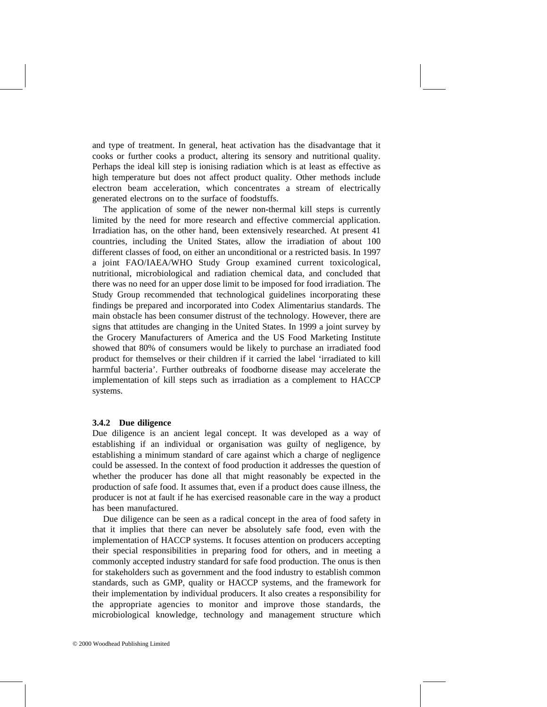and type of treatment. In general, heat activation has the disadvantage that it cooks or further cooks a product, altering its sensory and nutritional quality. Perhaps the ideal kill step is ionising radiation which is at least as effective as high temperature but does not affect product quality. Other methods include electron beam acceleration, which concentrates a stream of electrically generated electrons on to the surface of foodstuffs.

The application of some of the newer non-thermal kill steps is currently limited by the need for more research and effective commercial application. Irradiation has, on the other hand, been extensively researched. At present 41 countries, including the United States, allow the irradiation of about 100 different classes of food, on either an unconditional or a restricted basis. In 1997 a joint FAO/IAEA/WHO Study Group examined current toxicological, nutritional, microbiological and radiation chemical data, and concluded that there was no need for an upper dose limit to be imposed for food irradiation. The Study Group recommended that technological guidelines incorporating these findings be prepared and incorporated into Codex Alimentarius standards. The main obstacle has been consumer distrust of the technology. However, there are signs that attitudes are changing in the United States. In 1999 a joint survey by the Grocery Manufacturers of America and the US Food Marketing Institute showed that 80% of consumers would be likely to purchase an irradiated food product for themselves or their children if it carried the label 'irradiated to kill harmful bacteria'. Further outbreaks of foodborne disease may accelerate the implementation of kill steps such as irradiation as a complement to HACCP systems.

#### **3.4.2 Due diligence**

Due diligence is an ancient legal concept. It was developed as a way of establishing if an individual or organisation was guilty of negligence, by establishing a minimum standard of care against which a charge of negligence could be assessed. In the context of food production it addresses the question of whether the producer has done all that might reasonably be expected in the production of safe food. It assumes that, even if a product does cause illness, the producer is not at fault if he has exercised reasonable care in the way a product has been manufactured.

Due diligence can be seen as a radical concept in the area of food safety in that it implies that there can never be absolutely safe food, even with the implementation of HACCP systems. It focuses attention on producers accepting their special responsibilities in preparing food for others, and in meeting a commonly accepted industry standard for safe food production. The onus is then for stakeholders such as government and the food industry to establish common standards, such as GMP, quality or HACCP systems, and the framework for their implementation by individual producers. It also creates a responsibility for the appropriate agencies to monitor and improve those standards, the microbiological knowledge, technology and management structure which